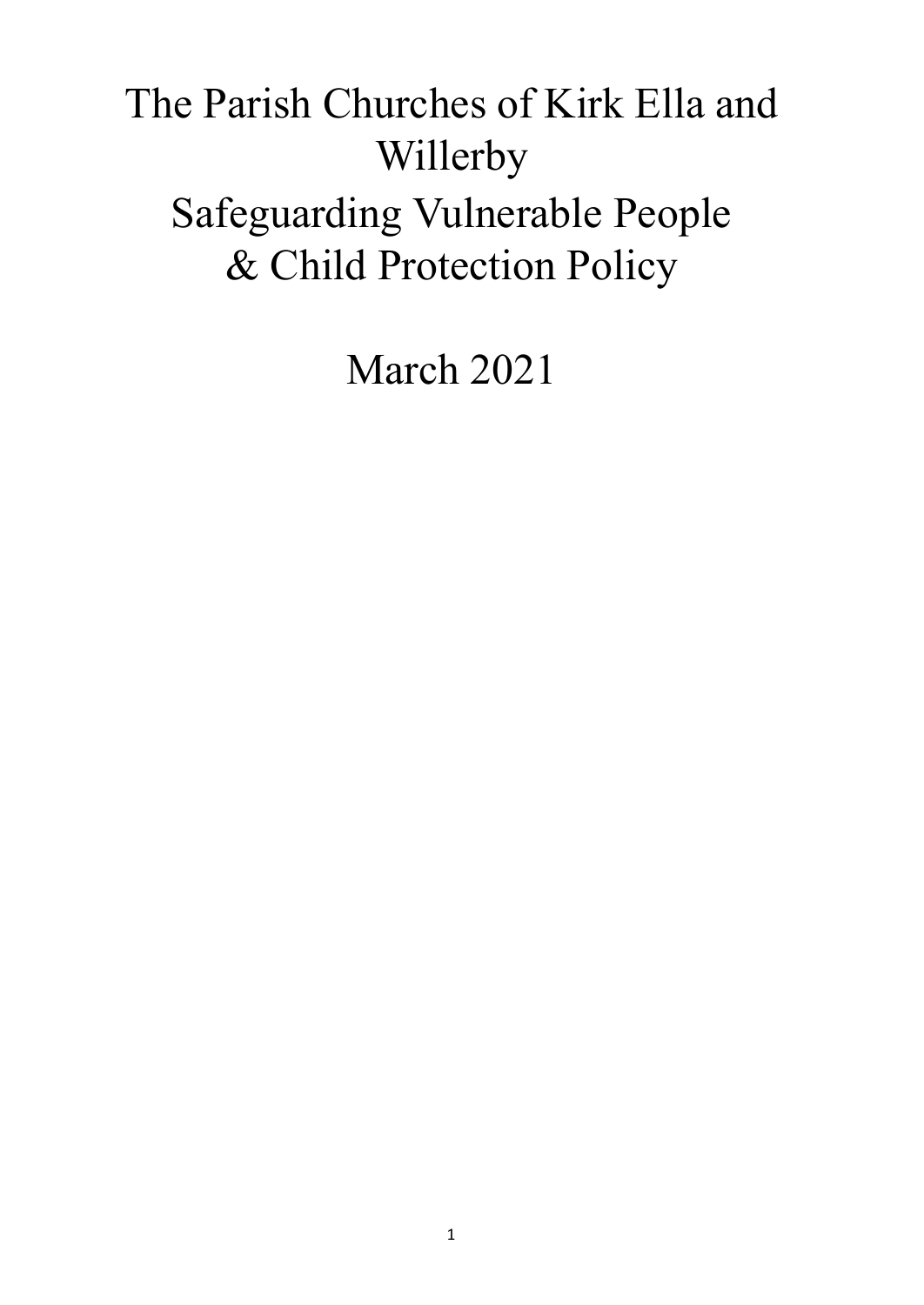# The Parish Churches of Kirk Ella and Willerby Safeguarding Vulnerable People & Child Protection Policy

March 2021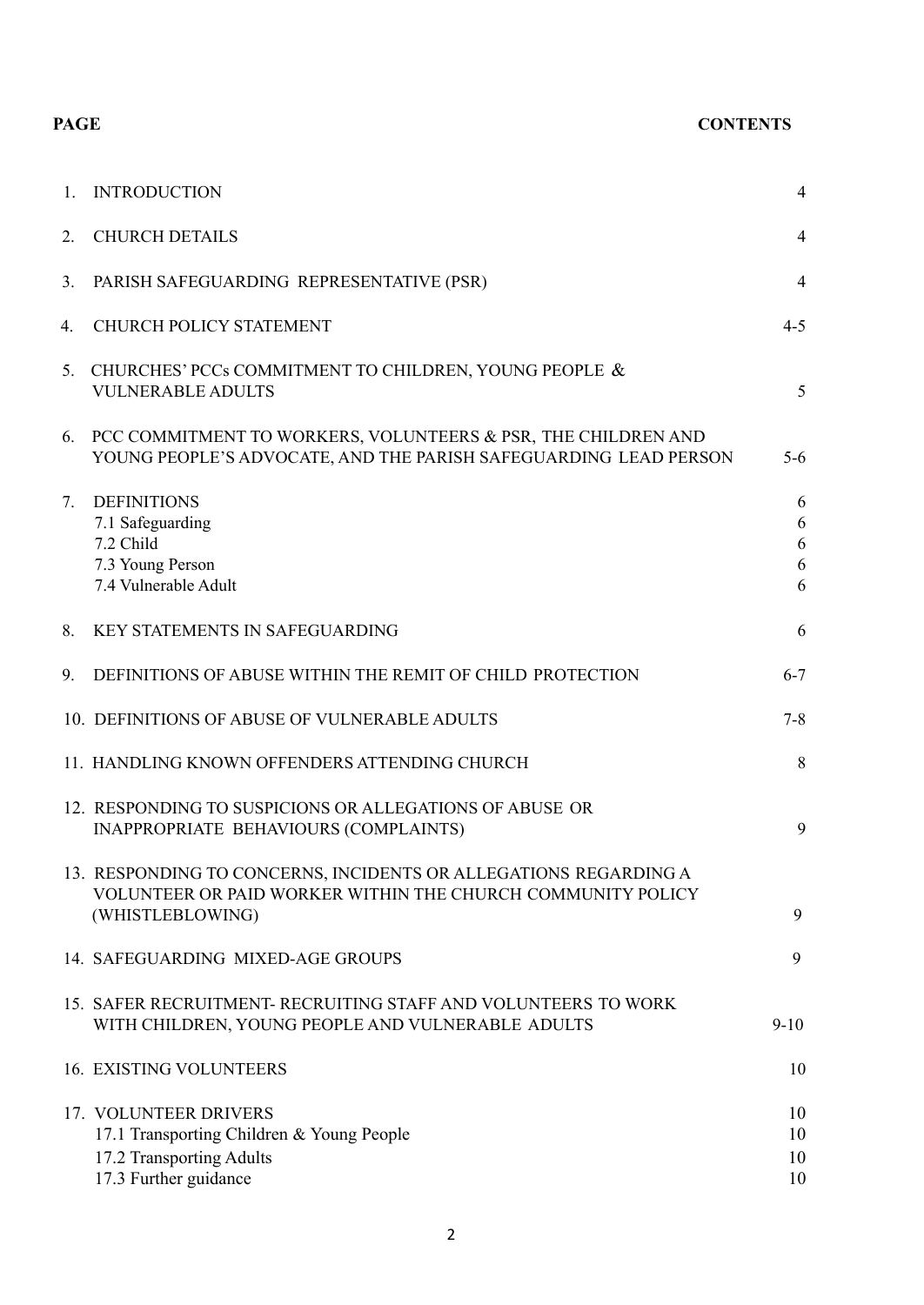# **PAGE CONTENTS**

| 1.                               | <b>INTRODUCTION</b>                                                                                                                                 | $\overline{4}$        |
|----------------------------------|-----------------------------------------------------------------------------------------------------------------------------------------------------|-----------------------|
| 2.                               | <b>CHURCH DETAILS</b>                                                                                                                               | $\overline{4}$        |
| 3.                               | PARISH SAFEGUARDING REPRESENTATIVE (PSR)                                                                                                            | $\overline{4}$        |
| 4.                               | CHURCH POLICY STATEMENT                                                                                                                             | $4 - 5$               |
| 5.                               | CHURCHES' PCCs COMMITMENT TO CHILDREN, YOUNG PEOPLE &<br><b>VULNERABLE ADULTS</b>                                                                   | 5                     |
|                                  | 6. PCC COMMITMENT TO WORKERS, VOLUNTEERS & PSR, THE CHILDREN AND<br>YOUNG PEOPLE'S ADVOCATE, AND THE PARISH SAFEGUARDING LEAD PERSON                | $5 - 6$               |
| $7_{\scriptscriptstyle{\ddots}}$ | <b>DEFINITIONS</b><br>7.1 Safeguarding<br>7.2 Child<br>7.3 Young Person<br>7.4 Vulnerable Adult                                                     | 6<br>6<br>6<br>6<br>6 |
| 8.                               | <b>KEY STATEMENTS IN SAFEGUARDING</b>                                                                                                               | 6                     |
| 9.                               | DEFINITIONS OF ABUSE WITHIN THE REMIT OF CHILD PROTECTION                                                                                           | $6 - 7$               |
|                                  | 10. DEFINITIONS OF ABUSE OF VULNERABLE ADULTS                                                                                                       | $7 - 8$               |
|                                  | 11. HANDLING KNOWN OFFENDERS ATTENDING CHURCH                                                                                                       | 8                     |
|                                  | 12. RESPONDING TO SUSPICIONS OR ALLEGATIONS OF ABUSE OR<br>INAPPROPRIATE BEHAVIOURS (COMPLAINTS)                                                    | 9                     |
|                                  | 13. RESPONDING TO CONCERNS, INCIDENTS OR ALLEGATIONS REGARDING A<br>VOLUNTEER OR PAID WORKER WITHIN THE CHURCH COMMUNITY POLICY<br>(WHISTLEBLOWING) | 9                     |
|                                  | 14. SAFEGUARDING MIXED-AGE GROUPS                                                                                                                   | 9                     |
|                                  | 15. SAFER RECRUITMENT- RECRUITING STAFF AND VOLUNTEERS TO WORK<br>WITH CHILDREN, YOUNG PEOPLE AND VULNERABLE ADULTS                                 | $9-10$                |
|                                  | 16. EXISTING VOLUNTEERS                                                                                                                             | 10                    |
|                                  | 17. VOLUNTEER DRIVERS<br>17.1 Transporting Children & Young People<br>17.2 Transporting Adults<br>17.3 Further guidance                             | 10<br>10<br>10<br>10  |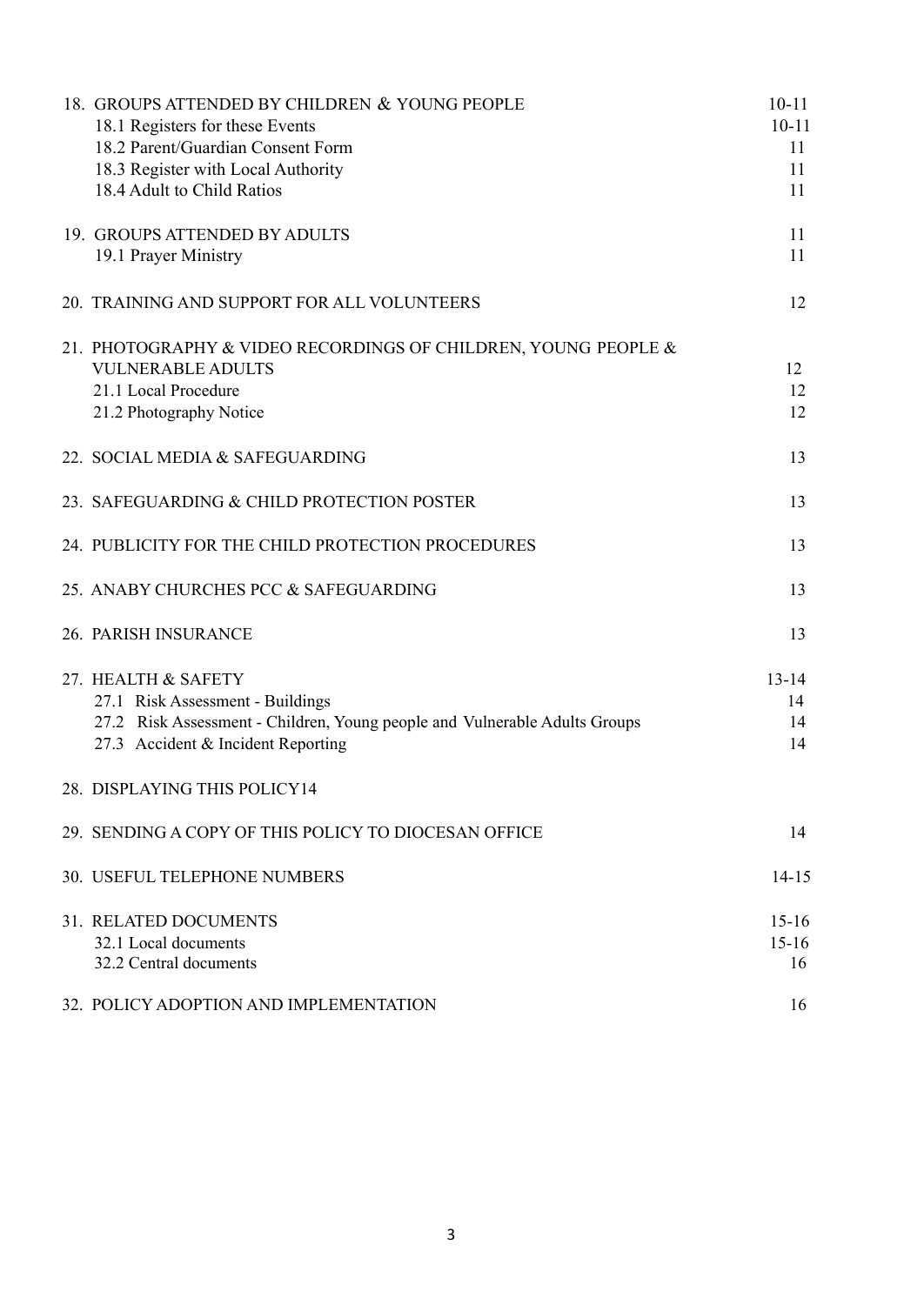| 18. GROUPS ATTENDED BY CHILDREN & YOUNG PEOPLE<br>18.1 Registers for these Events<br>18.2 Parent/Guardian Consent Form<br>18.3 Register with Local Authority<br>18.4 Adult to Child Ratios | $10 - 11$<br>$10 - 11$<br>11<br>11<br>11 |
|--------------------------------------------------------------------------------------------------------------------------------------------------------------------------------------------|------------------------------------------|
| 19. GROUPS ATTENDED BY ADULTS<br>19.1 Prayer Ministry                                                                                                                                      | 11<br>11                                 |
| 20. TRAINING AND SUPPORT FOR ALL VOLUNTEERS                                                                                                                                                | 12                                       |
| 21. PHOTOGRAPHY & VIDEO RECORDINGS OF CHILDREN, YOUNG PEOPLE &<br><b>VULNERABLE ADULTS</b><br>21.1 Local Procedure<br>21.2 Photography Notice                                              | 12<br>12<br>12                           |
| 22. SOCIAL MEDIA & SAFEGUARDING                                                                                                                                                            | 13                                       |
| 23. SAFEGUARDING & CHILD PROTECTION POSTER                                                                                                                                                 | 13                                       |
| 24. PUBLICITY FOR THE CHILD PROTECTION PROCEDURES                                                                                                                                          | 13                                       |
| 25. ANABY CHURCHES PCC & SAFEGUARDING                                                                                                                                                      | 13                                       |
| 26. PARISH INSURANCE                                                                                                                                                                       | 13                                       |
| 27. HEALTH & SAFETY<br>27.1 Risk Assessment - Buildings<br>27.2 Risk Assessment - Children, Young people and Vulnerable Adults Groups<br>27.3 Accident & Incident Reporting                | $13 - 14$<br>14<br>14<br>14              |
| 28. DISPLAYING THIS POLICY14                                                                                                                                                               |                                          |
| 29. SENDING A COPY OF THIS POLICY TO DIOCESAN OFFICE                                                                                                                                       | 14                                       |
| 30. USEFUL TELEPHONE NUMBERS                                                                                                                                                               | $14 - 15$                                |
| 31. RELATED DOCUMENTS<br>32.1 Local documents<br>32.2 Central documents                                                                                                                    | $15-16$<br>$15 - 16$<br>16               |
| 32. POLICY ADOPTION AND IMPLEMENTATION                                                                                                                                                     | 16                                       |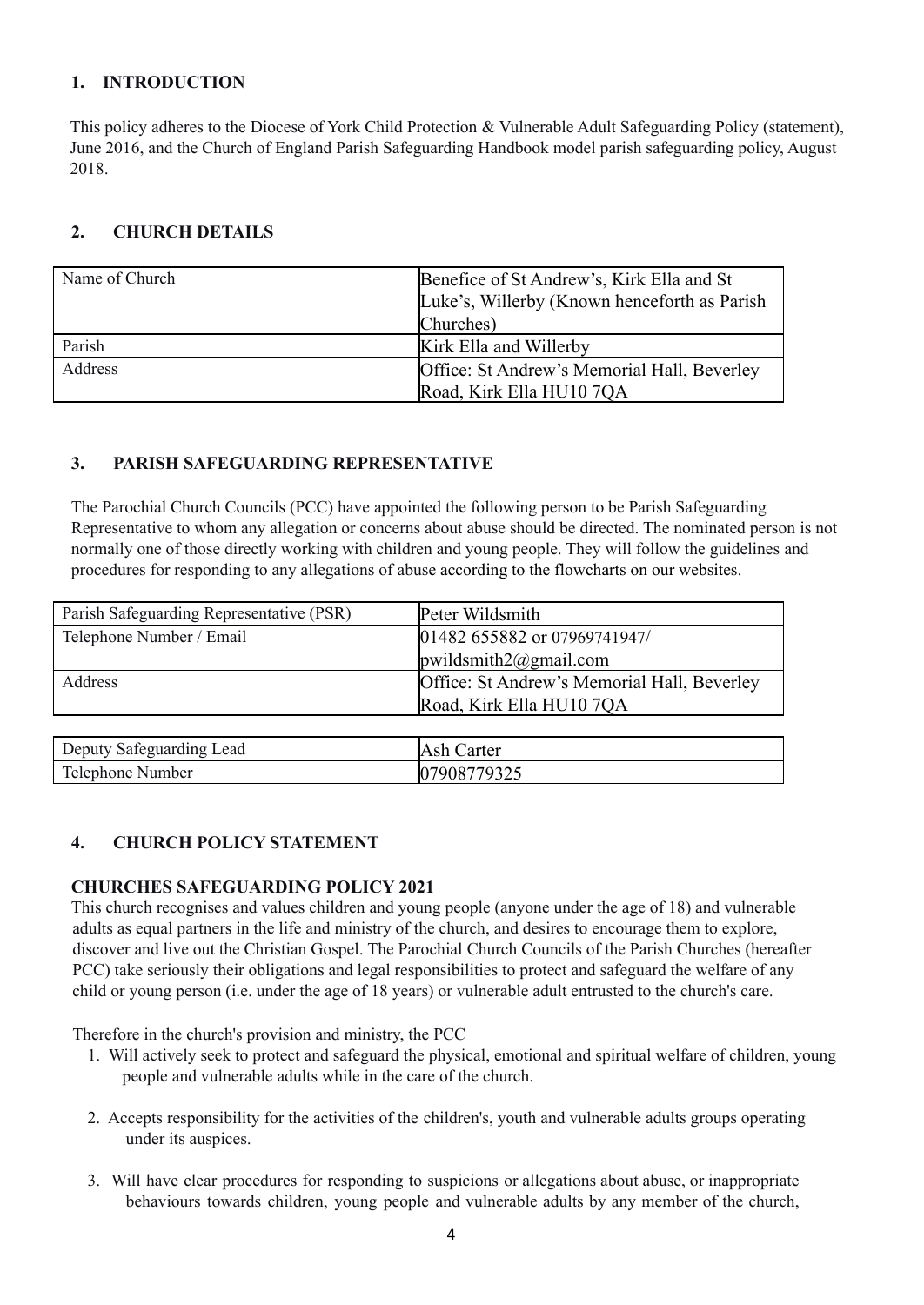### **1. INTRODUCTION**

This policy adheres to the Diocese of York Child Protection & Vulnerable Adult Safeguarding Policy (statement), June 2016, and the Church of England Parish Safeguarding Handbook model parish safeguarding policy, August 2018.

#### **2. CHURCH DETAILS**

| Name of Church | Benefice of St Andrew's, Kirk Ella and St    |
|----------------|----------------------------------------------|
|                | Luke's, Willerby (Known henceforth as Parish |
|                | Churches)                                    |
| Parish         | Kirk Ella and Willerby                       |
| <b>Address</b> | Office: St Andrew's Memorial Hall, Beverley  |
|                | Road, Kirk Ella HU10 7OA                     |

#### **3. PARISH SAFEGUARDING REPRESENTATIVE**

The Parochial Church Councils (PCC) have appointed the following person to be Parish Safeguarding Representative to whom any allegation or concerns about abuse should be directed. The nominated person is not normally one of those directly working with children and young people. They will follow the guidelines and procedures for responding to any allegations of abuse according to the flowcharts on our websites.

| Parish Safeguarding Representative (PSR) | Peter Wildsmith                             |
|------------------------------------------|---------------------------------------------|
| Telephone Number / Email                 | 01482 655882 or 07969741947/                |
|                                          | pwilds with 2@gmail.com                     |
| <b>Address</b>                           | Office: St Andrew's Memorial Hall, Beverley |
|                                          | Road, Kirk Ella HU10 7QA                    |

| Safeguarding Lead | Carter    |
|-------------------|-----------|
| Deputy            | IAsh      |
| Telephone Number  | 908779325 |

## **4. CHURCH POLICY STATEMENT**

#### **CHURCHES SAFEGUARDING POLICY 2021**

This church recognises and values children and young people (anyone under the age of 18) and vulnerable adults as equal partners in the life and ministry of the church, and desires to encourage them to explore, discover and live out the Christian Gospel. The Parochial Church Councils of the Parish Churches (hereafter PCC) take seriously their obligations and legal responsibilities to protect and safeguard the welfare of any child or young person (i.e. under the age of 18 years) or vulnerable adult entrusted to the church's care.

Therefore in the church's provision and ministry, the PCC

- 1. Will actively seek to protect and safeguard the physical, emotional and spiritual welfare of children, young people and vulnerable adults while in the care of the church.
- 2. Accepts responsibility for the activities of the children's, youth and vulnerable adults groups operating under its auspices.
- 3. Will have clear procedures for responding to suspicions or allegations about abuse, or inappropriate behaviours towards children, young people and vulnerable adults by any member of the church,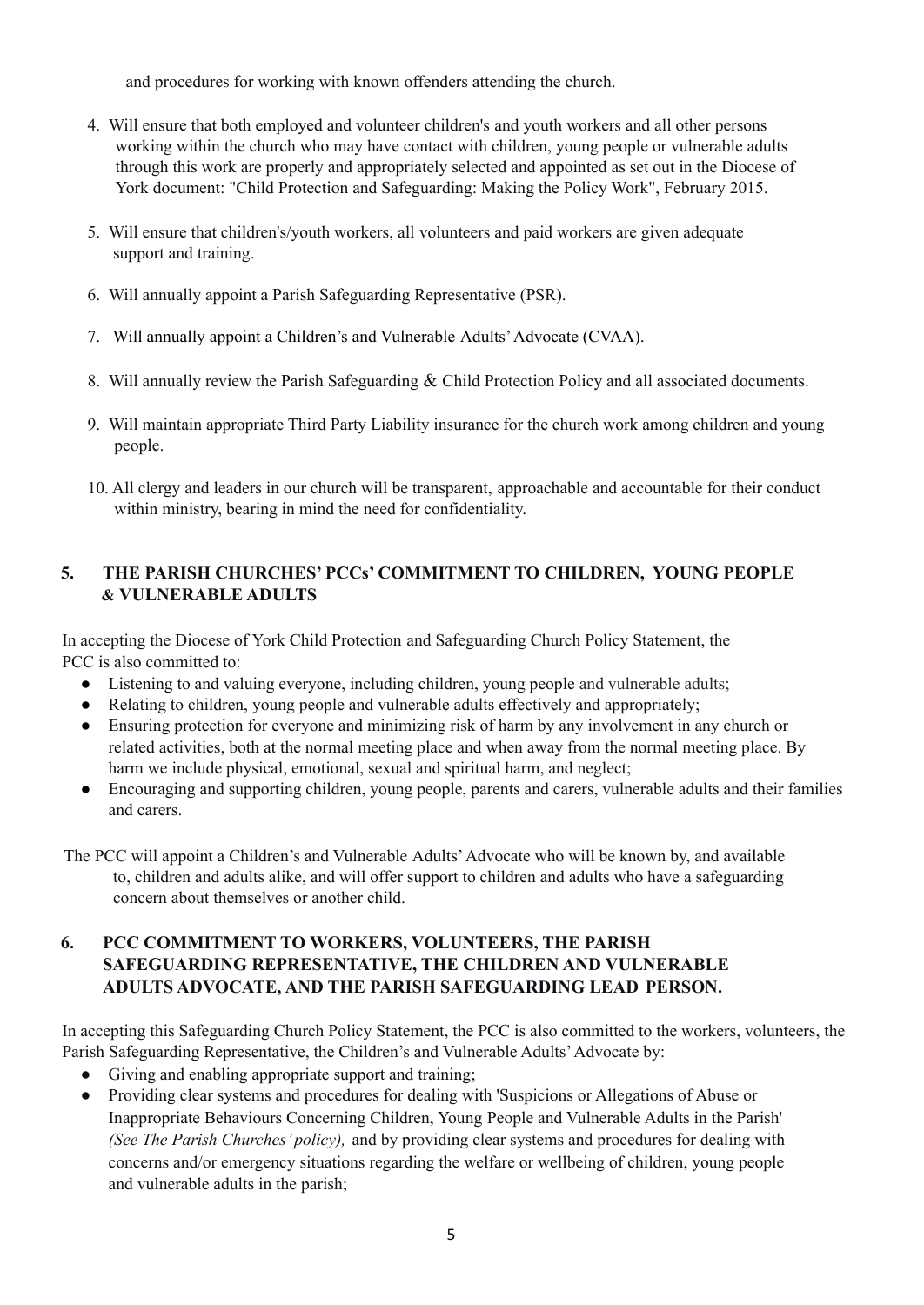and procedures for working with known offenders attending the church.

- 4. Will ensure that both employed and volunteer children's and youth workers and all other persons working within the church who may have contact with children, young people or vulnerable adults through this work are properly and appropriately selected and appointed as set out in the Diocese of York document: "Child Protection and Safeguarding: Making the Policy Work", February 2015.
- 5. Will ensure that children's/youth workers, all volunteers and paid workers are given adequate support and training.
- 6. Will annually appoint a Parish Safeguarding Representative (PSR).
- 7. Will annually appoint a Children's and Vulnerable Adults'Advocate (CVAA).
- 8. Will annually review the Parish Safeguarding & Child Protection Policy and all associated documents.
- 9. Will maintain appropriate Third Party Liability insurance for the church work among children and young people.
- 10. All clergy and leaders in our church will be transparent, approachable and accountable for their conduct within ministry, bearing in mind the need for confidentiality.

## **5. THE PARISH CHURCHES' PCCs' COMMITMENT TO CHILDREN, YOUNG PEOPLE & VULNERABLE ADULTS**

In accepting the Diocese of York Child Protection and Safeguarding Church Policy Statement, the PCC is also committed to:

- Listening to and valuing everyone, including children, young people and vulnerable adults;
- Relating to children, young people and vulnerable adults effectively and appropriately;
- Ensuring protection for everyone and minimizing risk of harm by any involvement in any church or related activities, both at the normal meeting place and when away from the normal meeting place. By harm we include physical, emotional, sexual and spiritual harm, and neglect;
- Encouraging and supporting children, young people, parents and carers, vulnerable adults and their families and carers.

The PCC will appoint a Children's and Vulnerable Adults'Advocate who will be known by, and available to, children and adults alike, and will offer support to children and adults who have a safeguarding concern about themselves or another child.

## **6. PCC COMMITMENT TO WORKERS, VOLUNTEERS, THE PARISH SAFEGUARDING REPRESENTATIVE, THE CHILDREN AND VULNERABLE ADULTS ADVOCATE, AND THE PARISH SAFEGUARDING LEAD PERSON.**

In accepting this Safeguarding Church Policy Statement, the PCC is also committed to the workers, volunteers, the Parish Safeguarding Representative, the Children's and Vulnerable Adults'Advocate by:

- Giving and enabling appropriate support and training;
- Providing clear systems and procedures for dealing with 'Suspicions or Allegations of Abuse or Inappropriate Behaviours Concerning Children, Young People and Vulnerable Adults in the Parish' *(See The Parish Churches' policy),* and by providing clear systems and procedures for dealing with concerns and/or emergency situations regarding the welfare or wellbeing of children, young people and vulnerable adults in the parish;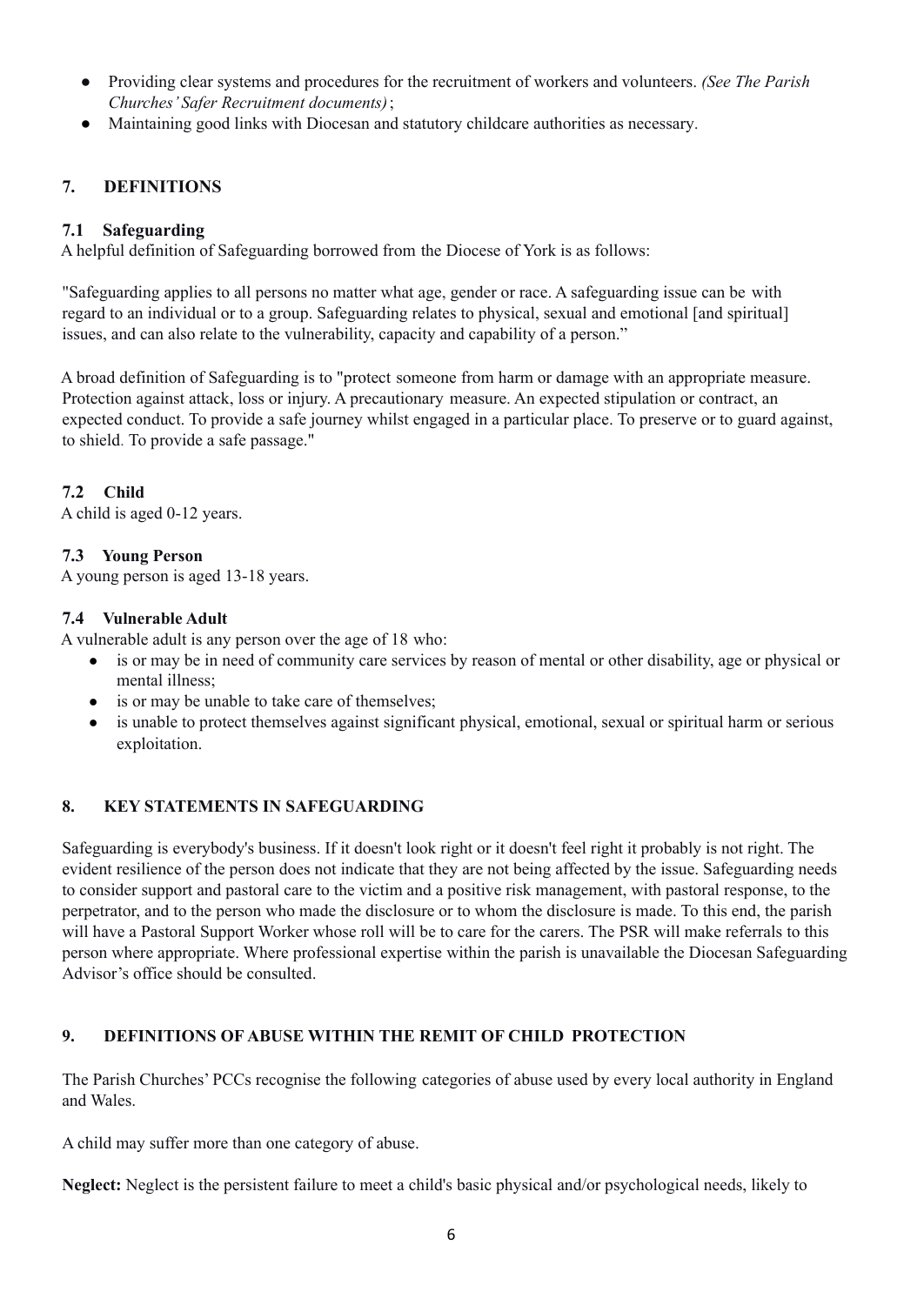- Providing clear systems and procedures for the recruitment of workers and volunteers. *(See The Parish Churches' Safer Recruitment documents)*;
- Maintaining good links with Diocesan and statutory childcare authorities as necessary.

## **7. DEFINITIONS**

## **7.1 Safeguarding**

A helpful definition of Safeguarding borrowed from the Diocese of York is as follows:

"Safeguarding applies to all persons no matter what age, gender or race. A safeguarding issue can be with regard to an individual or to a group. Safeguarding relates to physical, sexual and emotional [and spiritual] issues, and can also relate to the vulnerability, capacity and capability of a person."

A broad definition of Safeguarding is to "protect someone from harm or damage with an appropriate measure. Protection against attack, loss or injury. A precautionary measure. An expected stipulation or contract, an expected conduct. To provide a safe journey whilst engaged in a particular place. To preserve or to guard against, to shield. To provide a safe passage."

## **7.2 Child**

A child is aged 0-12 years.

## **7.3 Young Person**

A young person is aged 13-18 years.

## **7.4 Vulnerable Adult**

A vulnerable adult is any person over the age of 18 who:

- is or may be in need of community care services by reason of mental or other disability, age or physical or mental illness;
- is or may be unable to take care of themselves;
- is unable to protect themselves against significant physical, emotional, sexual or spiritual harm or serious exploitation.

## **8. KEY STATEMENTS IN SAFEGUARDING**

Safeguarding is everybody's business. If it doesn't look right or it doesn't feel right it probably is not right. The evident resilience of the person does not indicate that they are not being affected by the issue. Safeguarding needs to consider support and pastoral care to the victim and a positive risk management, with pastoral response, to the perpetrator, and to the person who made the disclosure or to whom the disclosure is made. To this end, the parish will have a Pastoral Support Worker whose roll will be to care for the carers. The PSR will make referrals to this person where appropriate. Where professional expertise within the parish is unavailable the Diocesan Safeguarding Advisor's office should be consulted.

## **9. DEFINITIONS OF ABUSE WITHIN THE REMIT OF CHILD PROTECTION**

The Parish Churches' PCCs recognise the following categories of abuse used by every local authority in England and Wales.

A child may suffer more than one category of abuse.

**Neglect:** Neglect is the persistent failure to meet a child's basic physical and/or psychological needs, likely to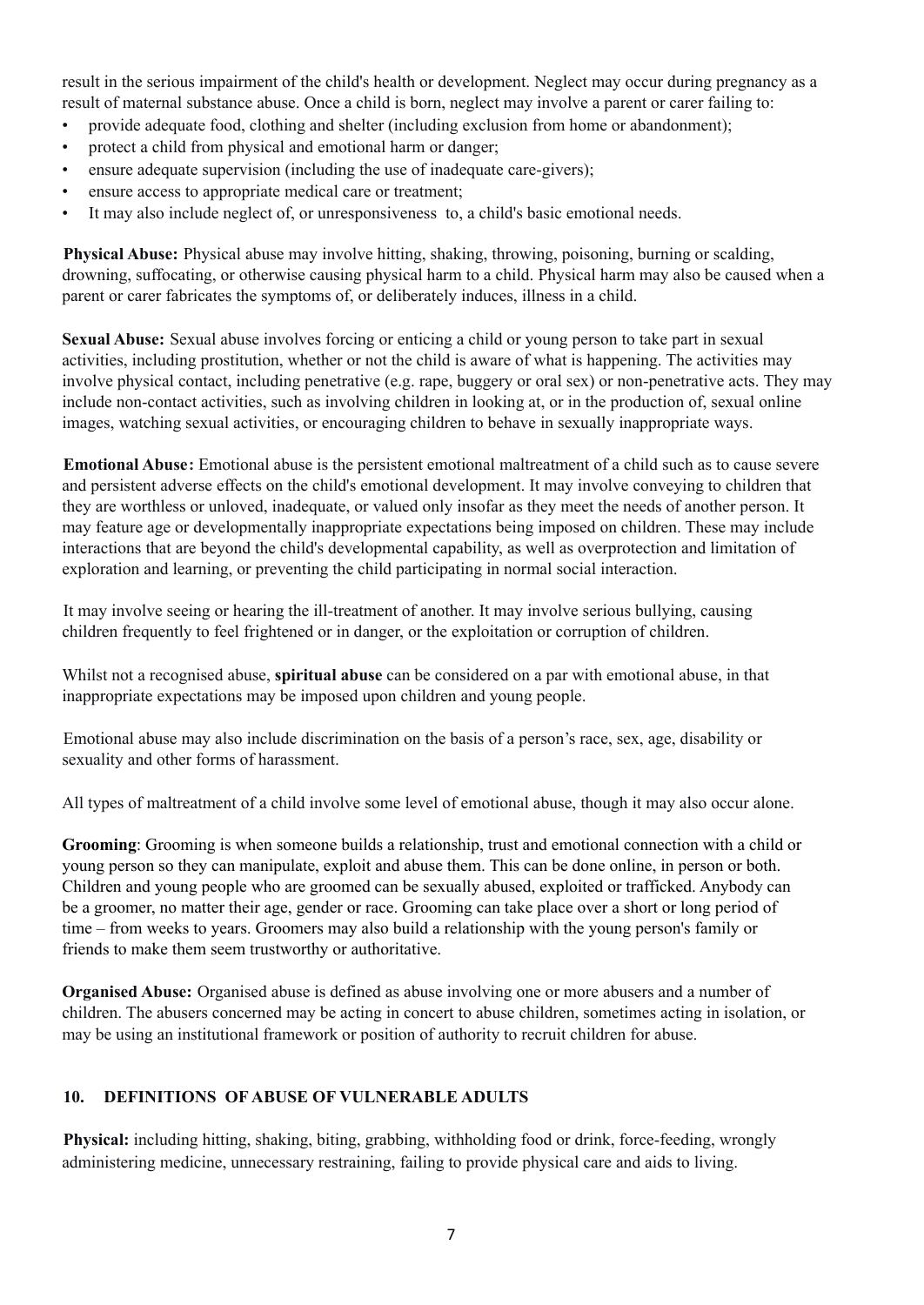result in the serious impairment of the child's health or development. Neglect may occur during pregnancy as a result of maternal substance abuse. Once a child is born, neglect may involve a parent or carer failing to:

- provide adequate food, clothing and shelter (including exclusion from home or abandonment);
- protect a child from physical and emotional harm or danger;
- ensure adequate supervision (including the use of inadequate care-givers);
- ensure access to appropriate medical care or treatment;
- It may also include neglect of, or unresponsiveness to, a child's basic emotional needs.

**Physical Abuse:** Physical abuse may involve hitting, shaking, throwing, poisoning, burning or scalding, drowning, suffocating, or otherwise causing physical harm to a child. Physical harm may also be caused when a parent or carer fabricates the symptoms of, or deliberately induces, illness in a child.

**Sexual Abuse:** Sexual abuse involves forcing or enticing a child or young person to take part in sexual activities, including prostitution, whether or not the child is aware of what is happening. The activities may involve physical contact, including penetrative (e.g. rape, buggery or oral sex) or non-penetrative acts. They may include non-contact activities, such as involving children in looking at, or in the production of, sexual online images, watching sexual activities, or encouraging children to behave in sexually inappropriate ways.

**Emotional Abuse:** Emotional abuse is the persistent emotional maltreatment of a child such as to cause severe and persistent adverse effects on the child's emotional development. It may involve conveying to children that they are worthless or unloved, inadequate, or valued only insofar as they meet the needs of another person. It may feature age or developmentally inappropriate expectations being imposed on children. These may include interactions that are beyond the child's developmental capability, as well as overprotection and limitation of exploration and learning, or preventing the child participating in normal social interaction.

It may involve seeing or hearing the ill-treatment of another. It may involve serious bullying, causing children frequently to feel frightened or in danger, or the exploitation or corruption of children.

Whilst not a recognised abuse, **spiritual abuse** can be considered on a par with emotional abuse, in that inappropriate expectations may be imposed upon children and young people.

Emotional abuse may also include discrimination on the basis of a person's race, sex, age, disability or sexuality and other forms of harassment.

All types of maltreatment of a child involve some level of emotional abuse, though it may also occur alone.

**Grooming**: Grooming is when someone builds a relationship, trust and emotional connection with a child or young person so they can manipulate, exploit and abuse them. This can be done online, in person or both. Children and young people who are groomed can be [sexually](https://www.nspcc.org.uk/what-is-child-abuse/types-of-abuse/child-sexual-abuse/) abused, [exploited](https://www.nspcc.org.uk/what-is-child-abuse/types-of-abuse/child-sexual-exploitation/) or [trafficked](https://www.nspcc.org.uk/what-is-child-abuse/types-of-abuse/child-trafficking/). Anybody can be a groomer, no matter their age, gender or race. Grooming can take place over a short or long period of time – from weeks to years. Groomers may also build a relationship with the young person's family or friends to make them seem trustworthy or authoritative.

**Organised Abuse:** Organised abuse is defined as abuse involving one or more abusers and a number of children. The abusers concerned may be acting in concert to abuse children, sometimes acting in isolation, or may be using an institutional framework or position of authority to recruit children for abuse.

#### **10. DEFINITIONS OF ABUSE OF VULNERABLE ADULTS**

**Physical:** including hitting, shaking, biting, grabbing, withholding food or drink, force-feeding, wrongly administering medicine, unnecessary restraining, failing to provide physical care and aids to living.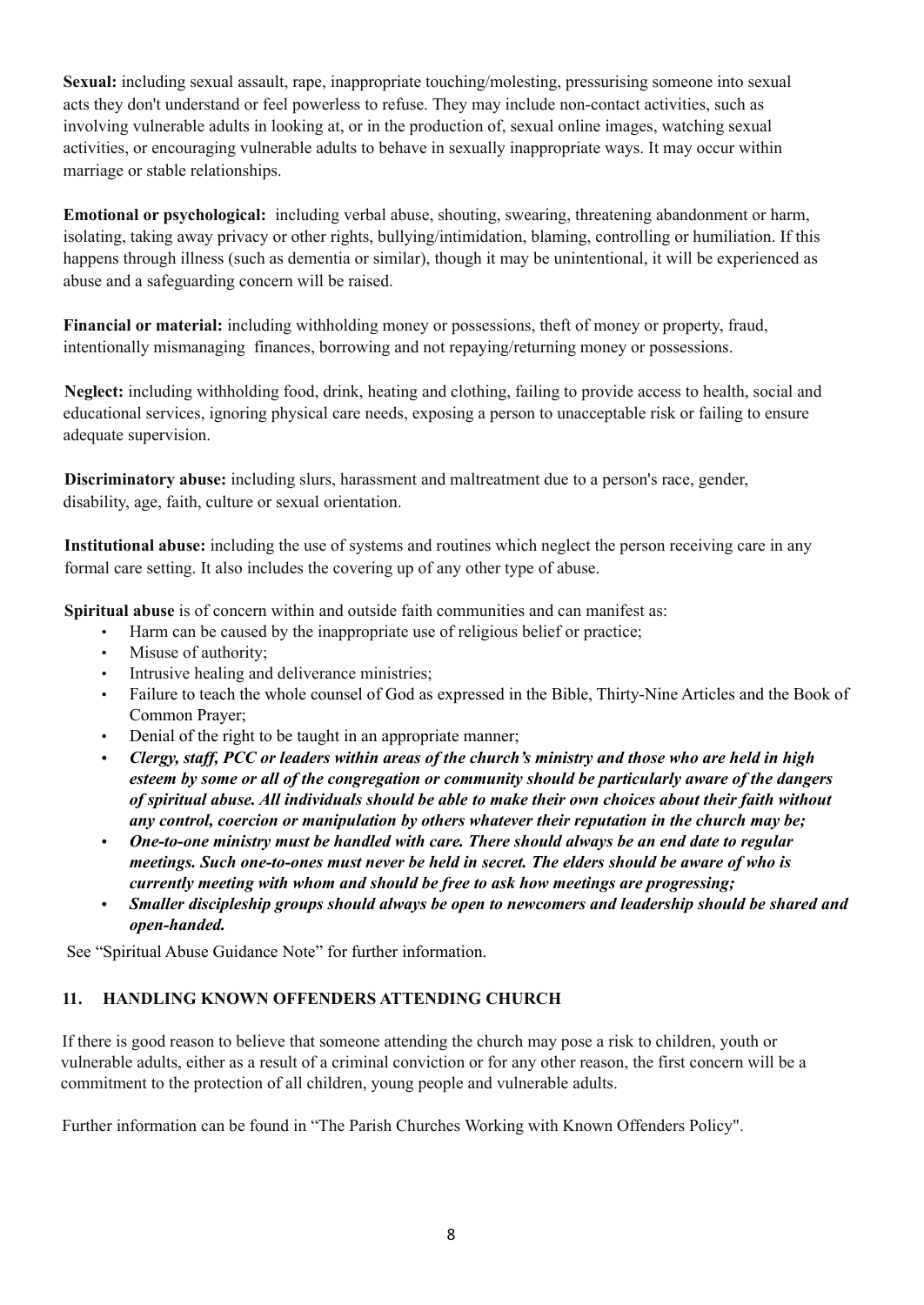**Sexual:** including sexual assault, rape, inappropriate touching/molesting, pressurising someone into sexual acts they don't understand or feel powerless to refuse. They may include non-contact activities, such as involving vulnerable adults in looking at, or in the production of, sexual online images, watching sexual activities, or encouraging vulnerable adults to behave in sexually inappropriate ways. It may occur within marriage or stable relationships.

**Emotional or psychological:** including verbal abuse, shouting, swearing, threatening abandonment or harm, isolating, taking away privacy or other rights, bullying/intimidation, blaming, controlling or humiliation. If this happens through illness (such as dementia or similar), though it may be unintentional, it will be experienced as abuse and a safeguarding concern will be raised.

**Financial or material:** including withholding money or possessions, theft of money or property, fraud, intentionally mismanaging finances, borrowing and not repaying/returning money or possessions.

**Neglect:** including withholding food, drink, heating and clothing, failing to provide access to health, social and educational services, ignoring physical care needs, exposing a person to unacceptable risk or failing to ensure adequate supervision.

**Discriminatory abuse:** including slurs, harassment and maltreatment due to a person's race, gender, disability, age, faith, culture or sexual orientation.

**Institutional abuse:** including the use of systems and routines which neglect the person receiving care in any formal care setting. It also includes the covering up of any other type of abuse.

**Spiritual abuse** is of concern within and outside faith communities and can manifest as:

- Harm can be caused by the inappropriate use of religious belief or practice;
- Misuse of authority;
- Intrusive healing and deliverance ministries;
- Failure to teach the whole counsel of God as expressed in the Bible, Thirty-Nine Articles and the Book of Common Prayer;
- Denial of the right to be taught in an appropriate manner;
- Clergy, staff, PCC or leaders within areas of the church's ministry and those who are held in high *esteem by some or all of the congregation or community should be particularly aware of the dangers of spiritual abuse. All individuals should be able to make their own choices about their faith without any control, coercion or manipulation by others whatever their reputation in the church may be;*
- *• One-to-one ministry must be handled with care. There should always be an end date to regular meetings. Such one-to-ones must never be held in secret. The elders should be aware of who is currently meeting with whom and should be free to ask how meetings are progressing;*
- *• Smaller discipleship groups should always be open to newcomers and leadership should be shared and open-handed.*

See "Spiritual Abuse Guidance Note" for further information.

## **11. HANDLING KNOWN OFFENDERS ATTENDING CHURCH**

If there is good reason to believe that someone attending the church may pose a risk to children, youth or vulnerable adults, either as a result of a criminal conviction or for any other reason, the first concern will be a commitment to the protection of all children, young people and vulnerable adults.

Further information can be found in "The Parish Churches Working with Known Offenders Policy".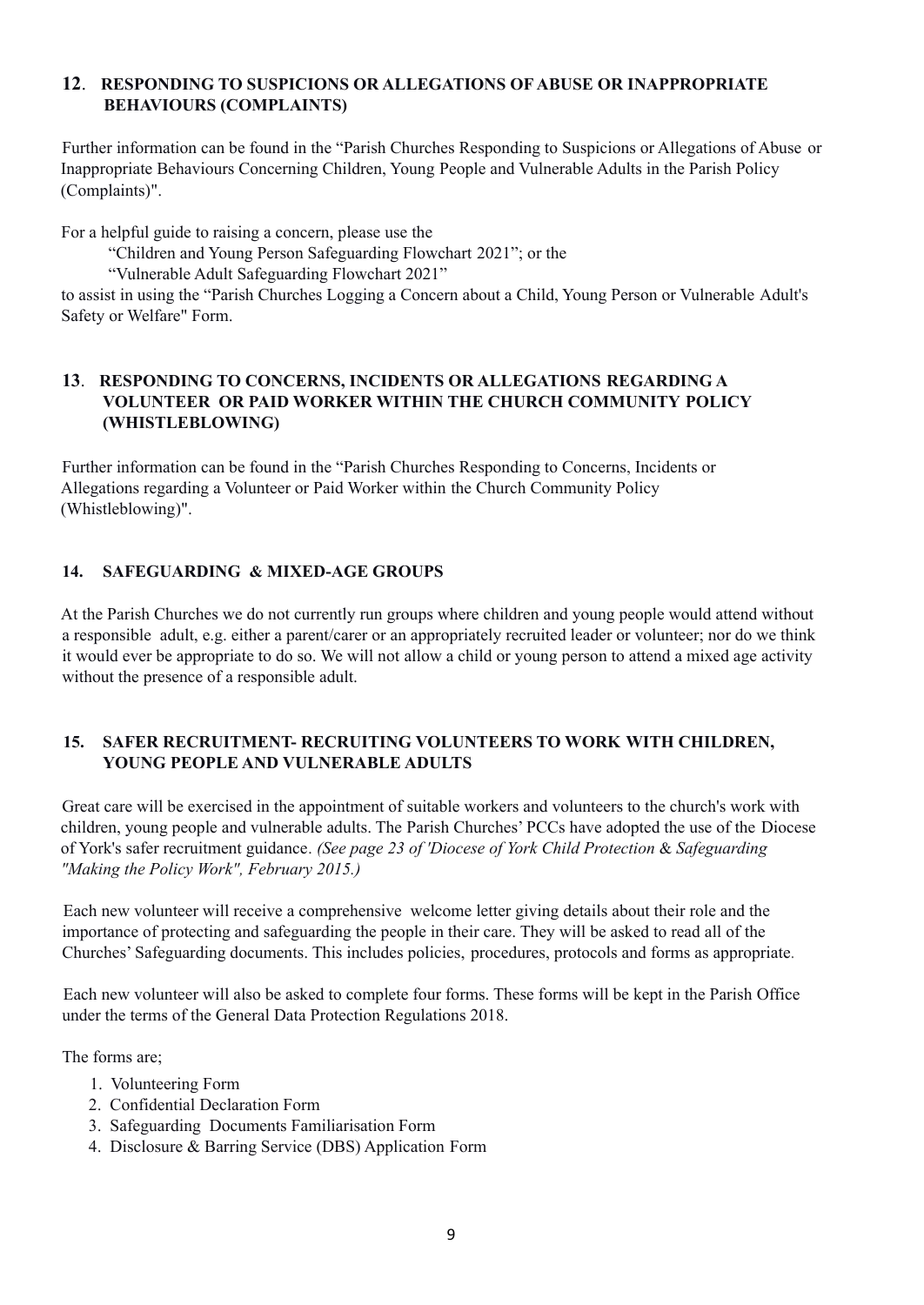#### **12**. **RESPONDING TO SUSPICIONS OR ALLEGATIONS OF ABUSE OR INAPPROPRIATE BEHAVIOURS (COMPLAINTS)**

Further information can be found in the "Parish Churches Responding to Suspicions or Allegations of Abuse or Inappropriate Behaviours Concerning Children, Young People and Vulnerable Adults in the Parish Policy (Complaints)".

For a helpful guide to raising a concern, please use the

"Children and Young Person Safeguarding Flowchart 2021"; or the

"Vulnerable Adult Safeguarding Flowchart 2021"

to assist in using the "Parish Churches Logging a Concern about a Child, Young Person or Vulnerable Adult's Safety or Welfare" Form.

#### **13**. **RESPONDING TO CONCERNS, INCIDENTS OR ALLEGATIONS REGARDING A VOLUNTEER OR PAID WORKER WITHIN THE CHURCH COMMUNITY POLICY (WHISTLEBLOWING)**

Further information can be found in the "Parish Churches Responding to Concerns, Incidents or Allegations regarding a Volunteer or Paid Worker within the Church Community Policy (Whistleblowing)".

#### **14. SAFEGUARDING & MIXED-AGE GROUPS**

At the Parish Churches we do not currently run groups where children and young people would attend without a responsible adult, e.g. either a parent/carer or an appropriately recruited leader or volunteer; nor do we think it would ever be appropriate to do so. We will not allow a child or young person to attend a mixed age activity without the presence of a responsible adult.

#### **15. SAFER RECRUITMENT- RECRUITING VOLUNTEERS TO WORK WITH CHILDREN, YOUNG PEOPLE AND VULNERABLE ADULTS**

Great care will be exercised in the appointment of suitable workers and volunteers to the church's work with children, young people and vulnerable adults. The Parish Churches' PCCs have adopted the use of the Diocese of York's safer recruitment guidance. *(See page 23 of 'Diocese of York Child Protection* & *Safeguarding "Making the Policy Work", February 2015.)*

Each new volunteer will receive a comprehensive welcome letter giving details about their role and the importance of protecting and safeguarding the people in their care. They will be asked to read all of the Churches' Safeguarding documents. This includes policies, procedures, protocols and forms as appropriate.

Each new volunteer will also be asked to complete four forms. These forms will be kept in the Parish Office under the terms of the General Data Protection Regulations 2018.

The forms are;

- 1. Volunteering Form
- 2. Confidential Declaration Form
- 3. Safeguarding Documents Familiarisation Form
- 4. Disclosure & Barring Service (DBS) Application Form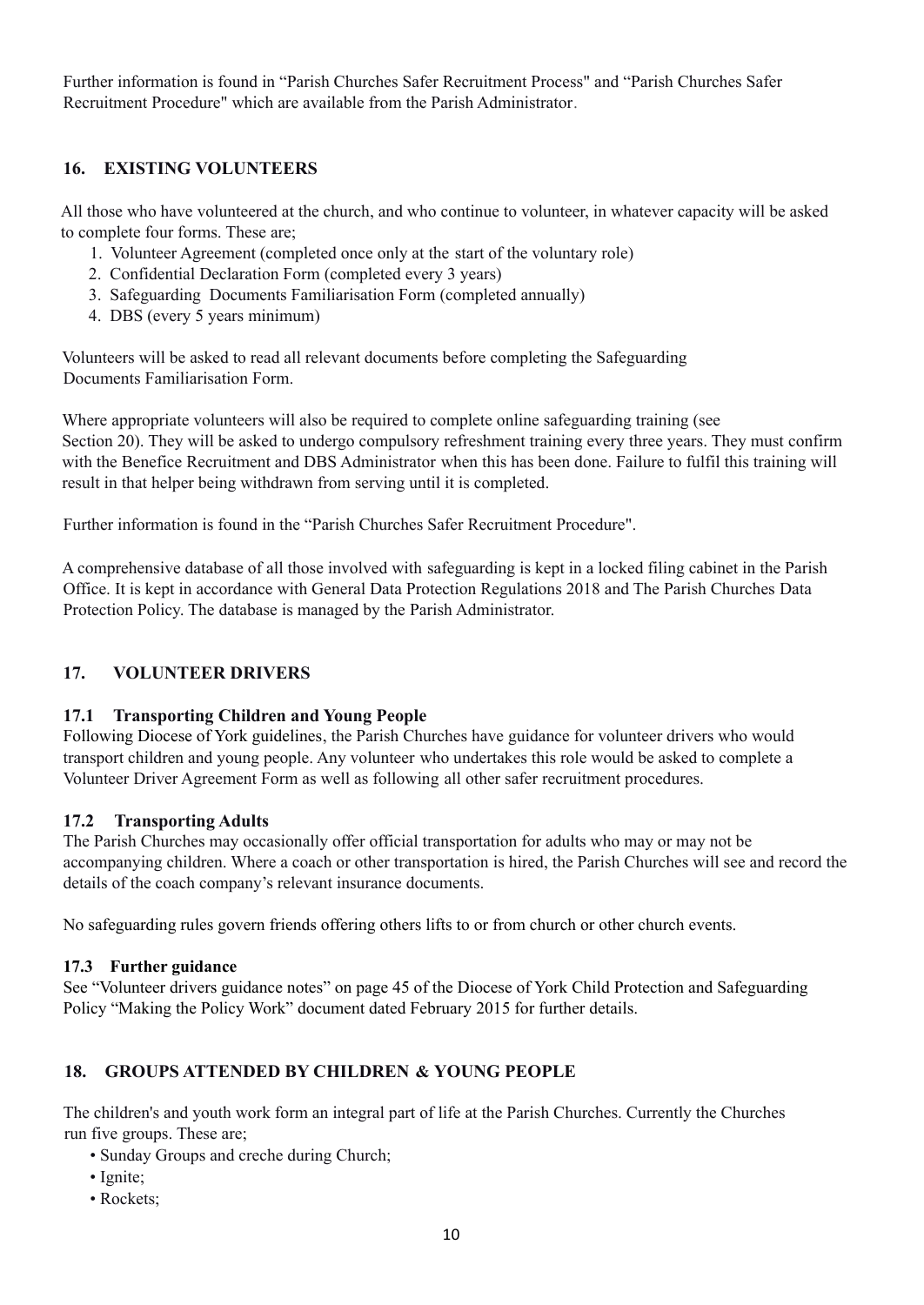Further information is found in "Parish Churches Safer Recruitment Process" and "Parish Churches Safer Recruitment Procedure" which are available from the Parish Administrator.

## **16. EXISTING VOLUNTEERS**

All those who have volunteered at the church, and who continue to volunteer, in whatever capacity will be asked to complete four forms. These are;

- 1. Volunteer Agreement (completed once only at the start of the voluntary role)
- 2. Confidential Declaration Form (completed every 3 years)
- 3. Safeguarding Documents Familiarisation Form (completed annually)
- 4. DBS (every 5 years minimum)

Volunteers will be asked to read all relevant documents before completing the Safeguarding Documents Familiarisation Form.

Where appropriate volunteers will also be required to complete online safeguarding training (see Section 20). They will be asked to undergo compulsory refreshment training every three years. They must confirm with the Benefice Recruitment and DBS Administrator when this has been done. Failure to fulfil this training will result in that helper being withdrawn from serving until it is completed.

Further information is found in the "Parish Churches Safer Recruitment Procedure".

A comprehensive database of all those involved with safeguarding is kept in a locked filing cabinet in the Parish Office. It is kept in accordance with General Data Protection Regulations 2018 and The Parish Churches Data Protection Policy. The database is managed by the Parish Administrator.

## **17. VOLUNTEER DRIVERS**

#### **17.1 Transporting Children and Young People**

Following Diocese of York guidelines, the Parish Churches have guidance for volunteer drivers who would transport children and young people. Any volunteer who undertakes this role would be asked to complete a Volunteer Driver Agreement Form as well as following all other safer recruitment procedures.

#### **17.2 Transporting Adults**

The Parish Churches may occasionally offer official transportation for adults who may or may not be accompanying children. Where a coach or other transportation is hired, the Parish Churches will see and record the details of the coach company's relevant insurance documents.

No safeguarding rules govern friends offering others lifts to or from church or other church events.

#### **17.3 Further guidance**

See "Volunteer drivers guidance notes" on page 45 of the Diocese of York Child Protection and Safeguarding Policy "Making the Policy Work" document dated February 2015 for further details.

## **18. GROUPS ATTENDED BY CHILDREN & YOUNG PEOPLE**

The children's and youth work form an integral part of life at the Parish Churches. Currently the Churches run five groups. These are;

- Sunday Groups and creche during Church;
- Ignite;
- Rockets: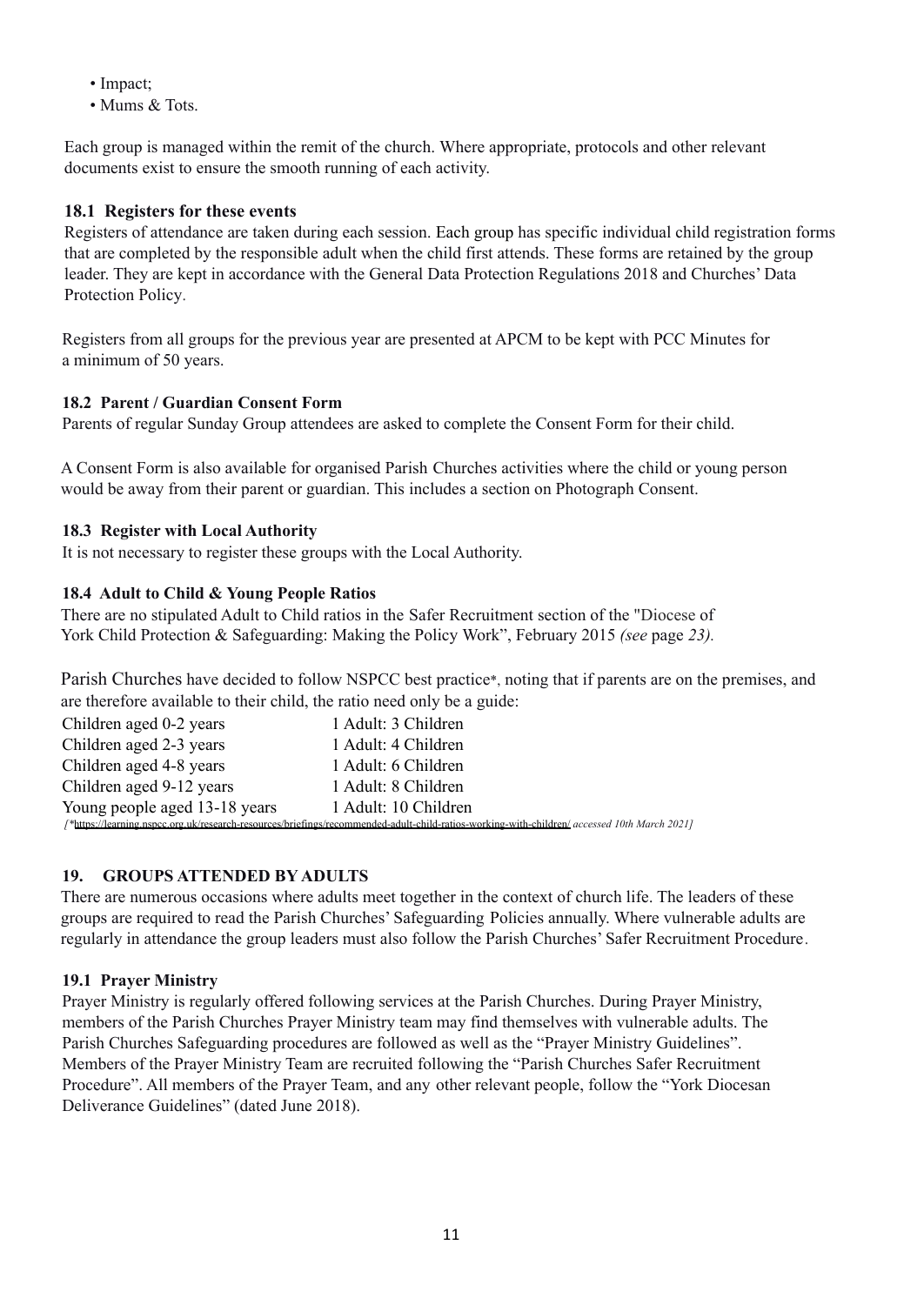- Impact;
- Mums & Tots.

Each group is managed within the remit of the church. Where appropriate, protocols and other relevant documents exist to ensure the smooth running of each activity.

#### **18.1 Registers for these events**

Registers of attendance are taken during each session. Each group has specific individual child registration forms that are completed by the responsible adult when the child first attends. These forms are retained by the group leader. They are kept in accordance with the General Data Protection Regulations 2018 and Churches' Data Protection Policy.

Registers from all groups for the previous year are presented at APCM to be kept with PCC Minutes for a minimum of 50 years.

#### **18.2 Parent / Guardian Consent Form**

Parents of regular Sunday Group attendees are asked to complete the Consent Form for their child.

A Consent Form is also available for organised Parish Churches activities where the child or young person would be away from their parent or guardian. This includes a section on Photograph Consent.

#### **18.3 Register with Local Authority**

It is not necessary to register these groups with the Local Authority.

#### **18.4 Adult to Child & Young People Ratios**

There are no stipulated Adult to Child ratios in the Safer Recruitment section of the "Diocese of York Child Protection & Safeguarding: Making the Policy Work", February 2015 *(see* page *23).*

Parish Churches have decided to follow NSPCC best practice\*, noting that if parents are on the premises, and are therefore available to their child, the ratio need only be a guide:

| Children aged 0-2 years       | 1 Adult: 3 Children                                                                                                                         |
|-------------------------------|---------------------------------------------------------------------------------------------------------------------------------------------|
| Children aged 2-3 years       | 1 Adult: 4 Children                                                                                                                         |
| Children aged 4-8 years       | 1 Adult: 6 Children                                                                                                                         |
| Children aged 9-12 years      | 1 Adult: 8 Children                                                                                                                         |
| Young people aged 13-18 years | 1 Adult: 10 Children                                                                                                                        |
|                               | /*https://learning.nspcc.org.uk/research-resources/briefings/recommended-adult-child-ratios-working-with-children/accessed 10th March 2021] |

## **19. GROUPS ATTENDED BY ADULTS**

There are numerous occasions where adults meet together in the context of church life. The leaders of these groups are required to read the Parish Churches' Safeguarding Policies annually. Where vulnerable adults are regularly in attendance the group leaders must also follow the Parish Churches' Safer Recruitment Procedure.

## **19.1 Prayer Ministry**

Prayer Ministry is regularly offered following services at the Parish Churches. During Prayer Ministry, members of the Parish Churches Prayer Ministry team may find themselves with vulnerable adults. The Parish Churches Safeguarding procedures are followed as well as the "Prayer Ministry Guidelines". Members of the Prayer Ministry Team are recruited following the "Parish Churches Safer Recruitment Procedure". All members of the Prayer Team, and any other relevant people, follow the "York Diocesan Deliverance Guidelines" (dated June 2018).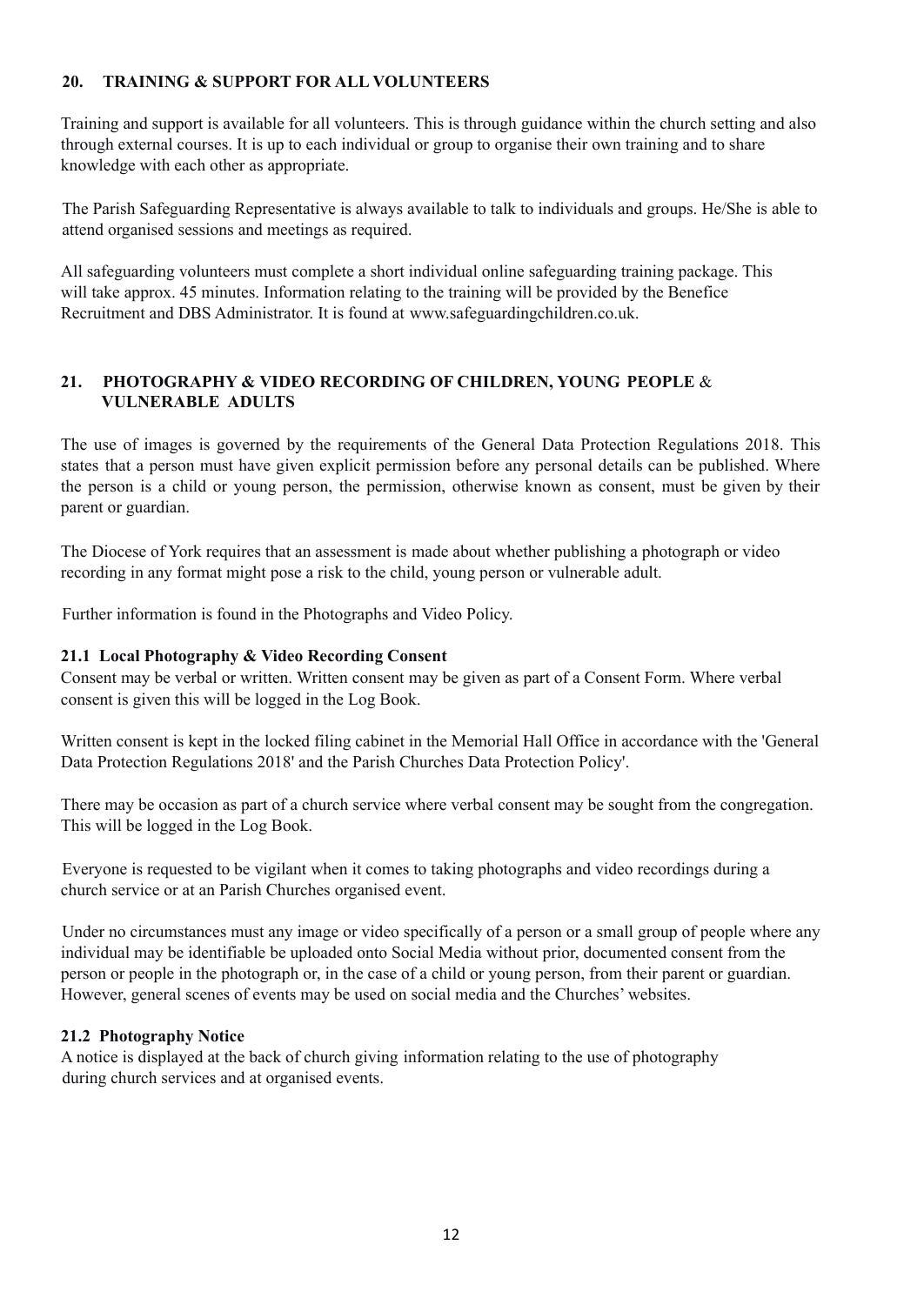#### **20. TRAINING & SUPPORT FOR ALL VOLUNTEERS**

Training and support is available for all volunteers. This is through guidance within the church setting and also through external courses. It is up to each individual or group to organise their own training and to share knowledge with each other as appropriate.

The Parish Safeguarding Representative is always available to talk to individuals and groups. He/She is able to attend organised sessions and meetings as required.

All safeguarding volunteers must complete a short individual online safeguarding training package. This will take approx. 45 minutes. Information relating to the training will be provided by the Benefice Recruitment and DBS Administrator. It is found at [www.safeguardingchildren.co.uk.](http://www.safeguardingchildren.co.uk/)

#### **21. PHOTOGRAPHY & VIDEO RECORDING OF CHILDREN, YOUNG PEOPLE** & **VULNERABLE ADULTS**

The use of images is governed by the requirements of the General Data Protection Regulations 2018. This states that a person must have given explicit permission before any personal details can be published. Where the person is a child or young person, the permission, otherwise known as consent, must be given by their parent or guardian.

The Diocese of York requires that an assessment is made about whether publishing a photograph or video recording in any format might pose a risk to the child, young person or vulnerable adult.

Further information is found in the Photographs and Video Policy.

#### **21.1 Local Photography & Video Recording Consent**

Consent may be verbal or written. Written consent may be given as part of a Consent Form. Where verbal consent is given this will be logged in the Log Book.

Written consent is kept in the locked filing cabinet in the Memorial Hall Office in accordance with the 'General Data Protection Regulations 2018' and the Parish Churches Data Protection Policy'.

There may be occasion as part of a church service where verbal consent may be sought from the congregation. This will be logged in the Log Book.

Everyone is requested to be vigilant when it comes to taking photographs and video recordings during a church service or at an Parish Churches organised event.

Under no circumstances must any image or video specifically of a person or a small group of people where any individual may be identifiable be uploaded onto Social Media without prior, documented consent from the person or people in the photograph or, in the case of a child or young person, from their parent or guardian. However, general scenes of events may be used on social media and the Churches' websites.

#### **21.2 Photography Notice**

A notice is displayed at the back of church giving information relating to the use of photography during church services and at organised events.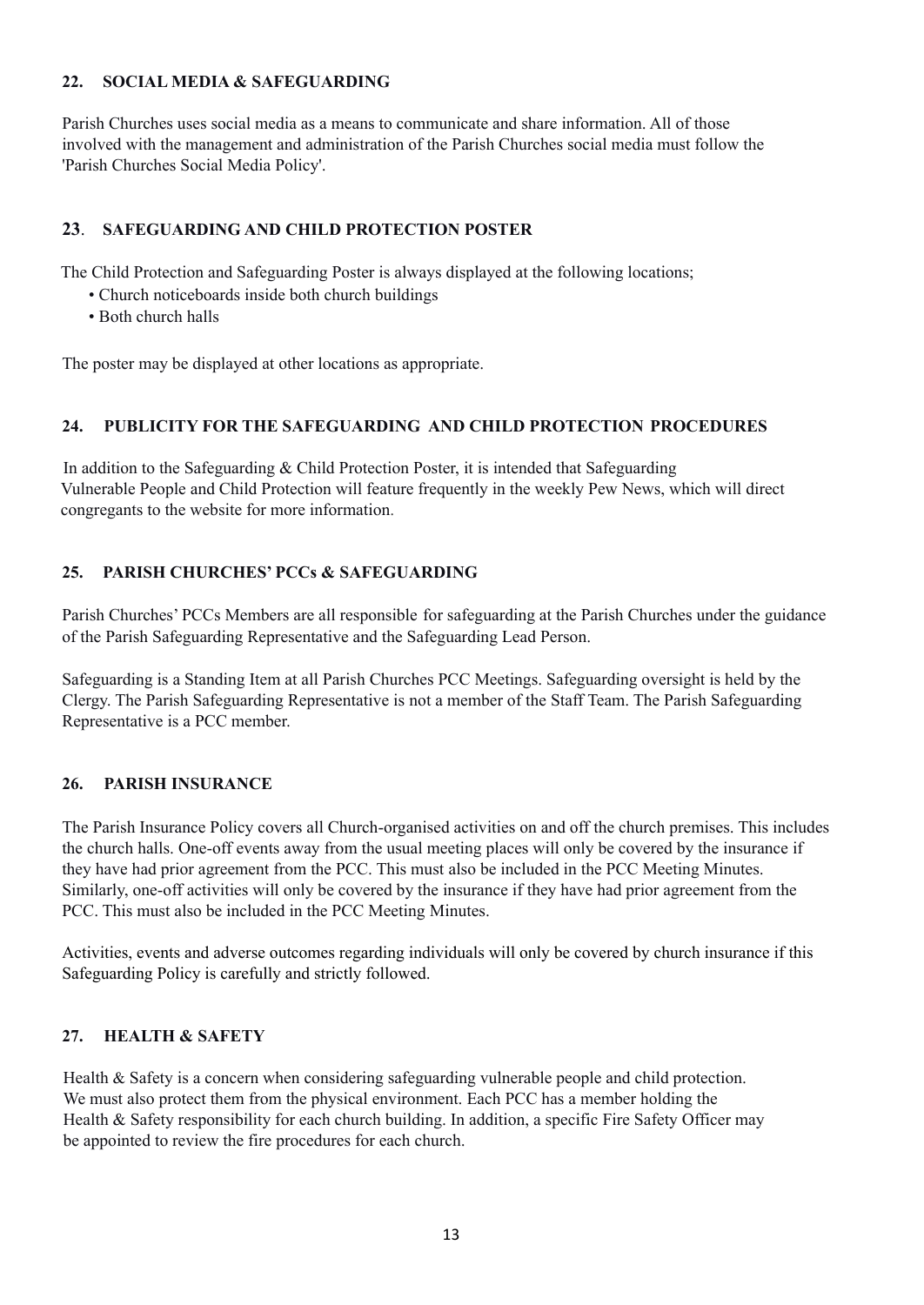#### **22. SOCIAL MEDIA & SAFEGUARDING**

Parish Churches uses social media as a means to communicate and share information. All of those involved with the management and administration of the Parish Churches social media must follow the 'Parish Churches Social Media Policy'.

#### **23**. **SAFEGUARDING AND CHILD PROTECTION POSTER**

The Child Protection and Safeguarding Poster is always displayed at the following locations;

- Church noticeboards inside both church buildings
- Both church halls

The poster may be displayed at other locations as appropriate.

#### **24. PUBLICITY FOR THE SAFEGUARDING AND CHILD PROTECTION PROCEDURES**

In addition to the Safeguarding & Child Protection Poster, it is intended that Safeguarding Vulnerable People and Child Protection will feature frequently in the weekly Pew News, which will direct congregants to the website for more information.

#### **25. PARISH CHURCHES' PCCs & SAFEGUARDING**

Parish Churches' PCCs Members are all responsible for safeguarding at the Parish Churches under the guidance of the Parish Safeguarding Representative and the Safeguarding Lead Person.

Safeguarding is a Standing Item at all Parish Churches PCC Meetings. Safeguarding oversight is held by the Clergy. The Parish Safeguarding Representative is not a member of the Staff Team. The Parish Safeguarding Representative is a PCC member.

#### **26. PARISH INSURANCE**

The Parish Insurance Policy covers all Church-organised activities on and off the church premises. This includes the church halls. One-off events away from the usual meeting places will only be covered by the insurance if they have had prior agreement from the PCC. This must also be included in the PCC Meeting Minutes. Similarly, one-off activities will only be covered by the insurance if they have had prior agreement from the PCC. This must also be included in the PCC Meeting Minutes.

Activities, events and adverse outcomes regarding individuals will only be covered by church insurance if this Safeguarding Policy is carefully and strictly followed.

#### **27. HEALTH & SAFETY**

Health & Safety is a concern when considering safeguarding vulnerable people and child protection. We must also protect them from the physical environment. Each PCC has a member holding the Health & Safety responsibility for each church building. In addition, a specific Fire Safety Officer may be appointed to review the fire procedures for each church.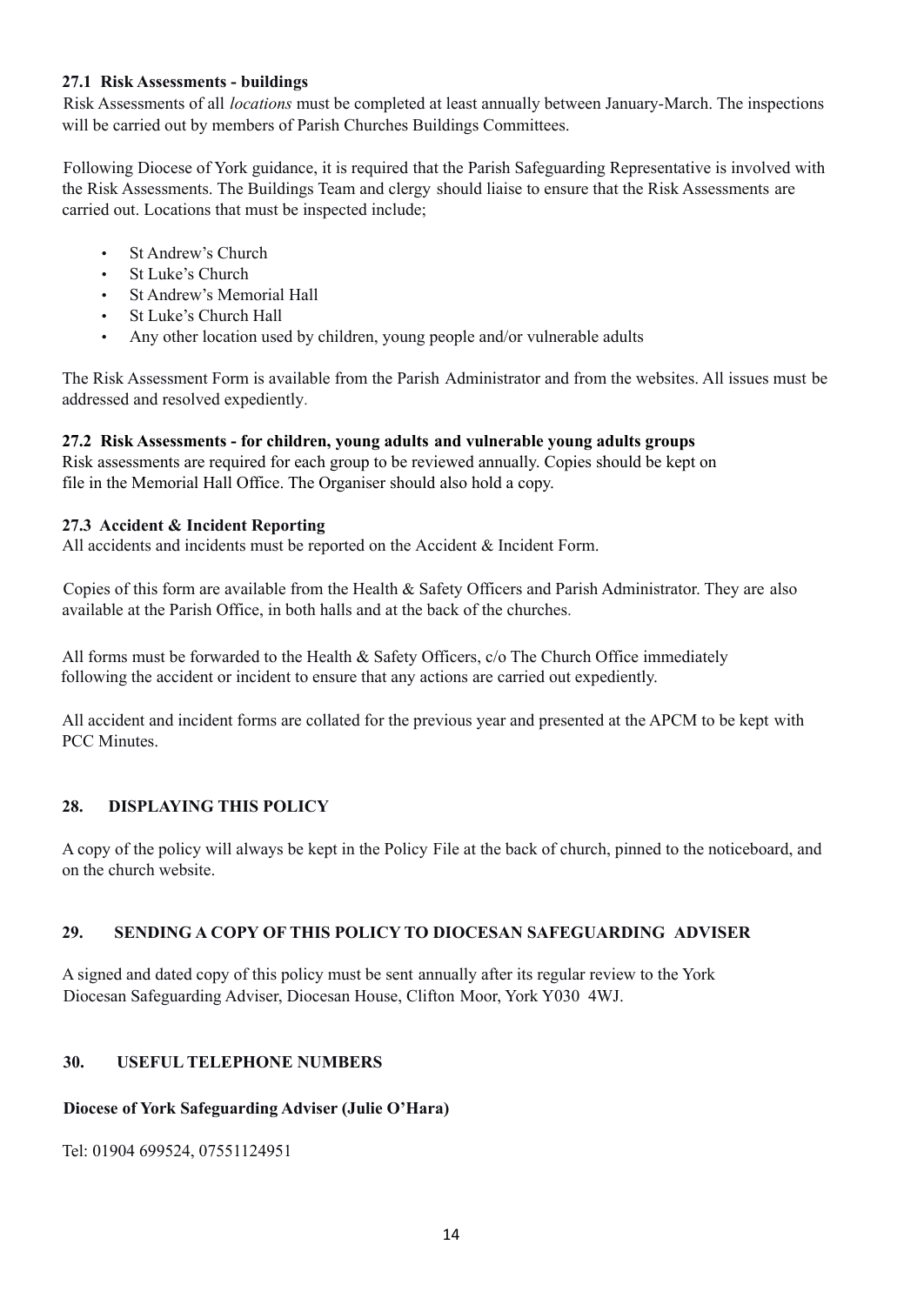#### **27.1 Risk Assessments - buildings**

Risk Assessments of all *locations* must be completed at least annually between January-March. The inspections will be carried out by members of Parish Churches Buildings Committees.

Following Diocese of York guidance, it is required that the Parish Safeguarding Representative is involved with the Risk Assessments. The Buildings Team and clergy should liaise to ensure that the Risk Assessments are carried out. Locations that must be inspected include;

- St Andrew's Church
- St Luke's Church
- St Andrew's Memorial Hall
- St Luke's Church Hall
- Any other location used by children, young people and/or vulnerable adults

The Risk Assessment Form is available from the Parish Administrator and from the websites. All issues must be addressed and resolved expediently.

#### **27.2 Risk Assessments - for children, young adults and vulnerable young adults groups**

Risk assessments are required for each group to be reviewed annually. Copies should be kept on file in the Memorial Hall Office. The Organiser should also hold a copy.

#### **27.3 Accident & Incident Reporting**

All accidents and incidents must be reported on the Accident & Incident Form.

Copies of this form are available from the Health & Safety Officers and Parish Administrator. They are also available at the Parish Office, in both halls and at the back of the churches.

All forms must be forwarded to the Health  $\&$  Safety Officers, c/o The Church Office immediately following the accident or incident to ensure that any actions are carried out expediently.

All accident and incident forms are collated for the previous year and presented at the APCM to be kept with PCC Minutes.

## **28. DISPLAYING THIS POLICY**

A copy of the policy will always be kept in the Policy File at the back of church, pinned to the noticeboard, and on the church website.

#### **29. SENDING A COPY OF THIS POLICY TO DIOCESAN SAFEGUARDING ADVISER**

A signed and dated copy of this policy must be sent annually after its regular review to the York Diocesan Safeguarding Adviser, Diocesan House, Clifton Moor, York Y030 4WJ.

#### **30. USEFUL TELEPHONE NUMBERS**

#### **Diocese of York Safeguarding Adviser (Julie O'Hara)**

Tel: 01904 699524, 07551124951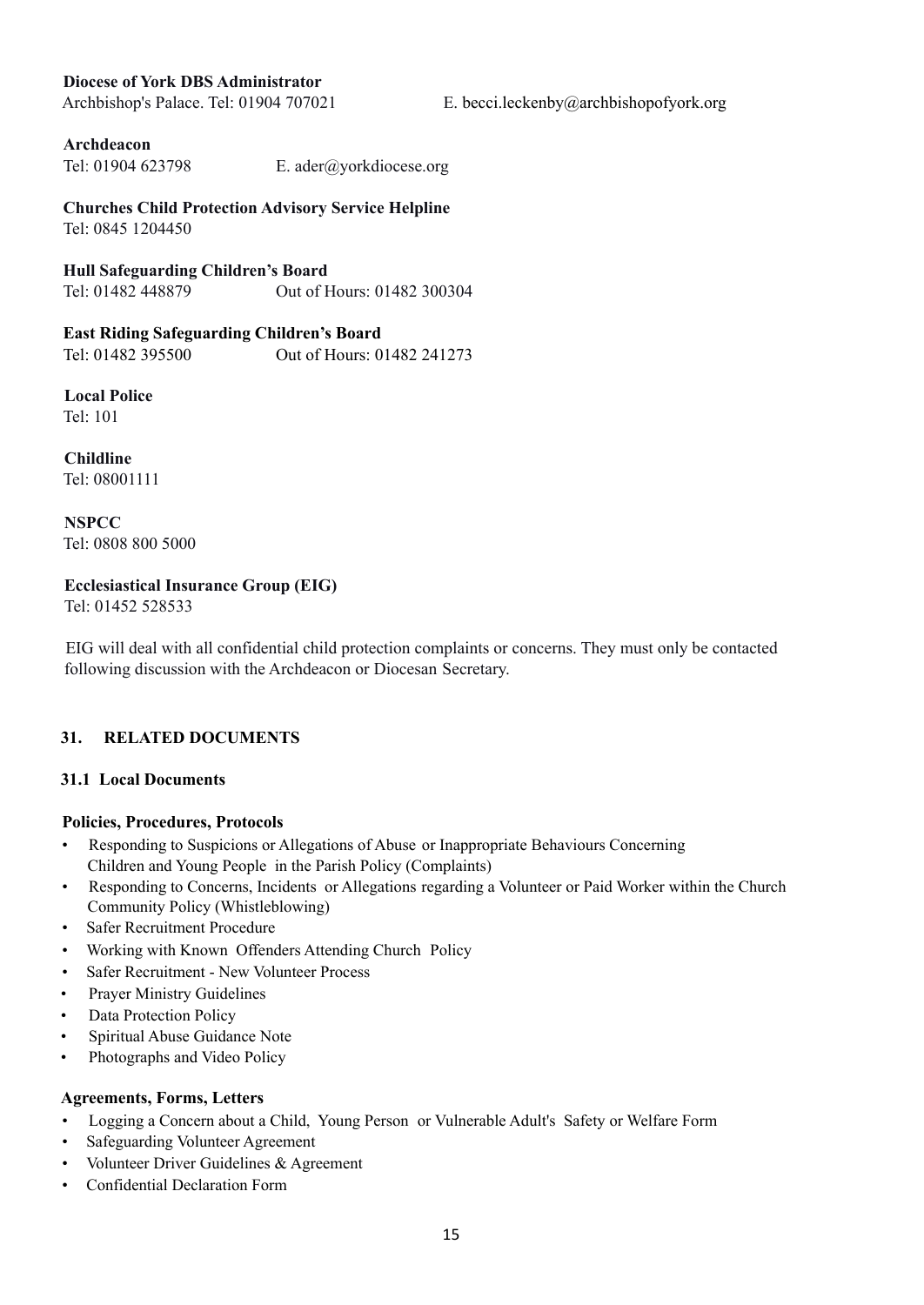#### **Diocese of York DBS Administrator**

Archbishop's Palace. Tel: 01904 707021 E. becci.leckenby@archbishopofyork.org

## **Archdeacon**

Tel: 01904 623798 E. ader@yorkdiocese.org

**Churches Child Protection Advisory Service Helpline** Tel: 0845 1204450

**Hull Safeguarding Children's Board** Tel: 01482 448879 Out of Hours: 01482 300304

**East Riding Safeguarding Children's Board** Tel: 01482 395500 Out of Hours: 01482 241273

**Local Police** Tel: 101

**Childline** Tel: 08001111

**NSPCC** Tel: 0808 800 5000

## **Ecclesiastical Insurance Group (EIG)**

Tel: 01452 528533

EIG will deal with all confidential child protection complaints or concerns. They must only be contacted following discussion with the Archdeacon or Diocesan Secretary.

## **31. RELATED DOCUMENTS**

#### **31.1 Local Documents**

#### **Policies, Procedures, Protocols**

- Responding to Suspicions or Allegations of Abuse or Inappropriate Behaviours Concerning Children and Young People in the Parish Policy (Complaints)
- Responding to Concerns, Incidents or Allegations regarding a Volunteer or Paid Worker within the Church Community Policy (Whistleblowing)
- Safer Recruitment Procedure
- Working with Known Offenders Attending Church Policy
- Safer Recruitment New Volunteer Process
- Prayer Ministry Guidelines
- Data Protection Policy
- Spiritual Abuse Guidance Note
- Photographs and Video Policy

#### **Agreements, Forms, Letters**

- Logging a Concern about a Child, Young Person or Vulnerable Adult's Safety or Welfare Form
- Safeguarding Volunteer Agreement
- Volunteer Driver Guidelines & Agreement
- Confidential Declaration Form